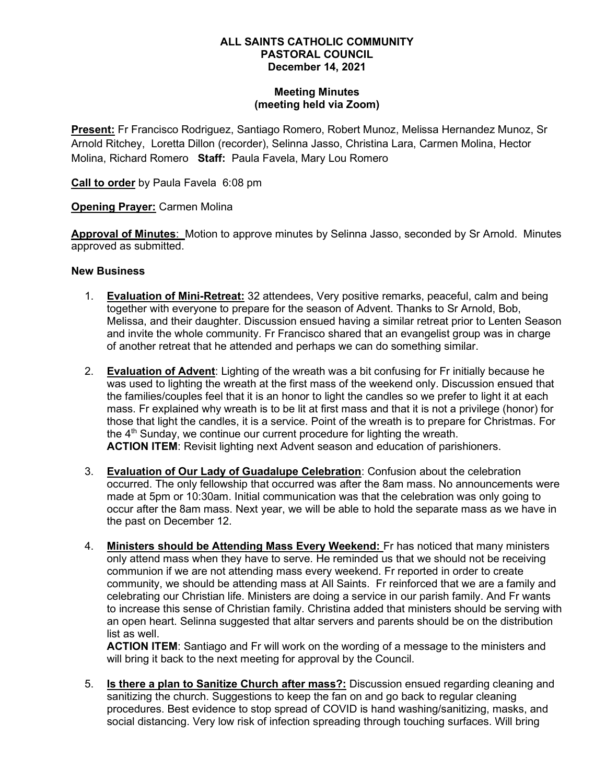### ALL SAINTS CATHOLIC COMMUNITY PASTORAL COUNCIL December 14, 2021

### Meeting Minutes (meeting held via Zoom)

Present: Fr Francisco Rodriguez, Santiago Romero, Robert Munoz, Melissa Hernandez Munoz, Sr Arnold Ritchey, Loretta Dillon (recorder), Selinna Jasso, Christina Lara, Carmen Molina, Hector Molina, Richard Romero Staff: Paula Favela, Mary Lou Romero

Call to order by Paula Favela 6:08 pm

**Opening Prayer: Carmen Molina** 

Approval of Minutes: Motion to approve minutes by Selinna Jasso, seconded by Sr Arnold. Minutes approved as submitted.

# New Business

- 1. **Evaluation of Mini-Retreat:** 32 attendees, Very positive remarks, peaceful, calm and being together with everyone to prepare for the season of Advent. Thanks to Sr Arnold, Bob, Melissa, and their daughter. Discussion ensued having a similar retreat prior to Lenten Season and invite the whole community. Fr Francisco shared that an evangelist group was in charge of another retreat that he attended and perhaps we can do something similar.
- 2. Evaluation of Advent: Lighting of the wreath was a bit confusing for Fr initially because he was used to lighting the wreath at the first mass of the weekend only. Discussion ensued that the families/couples feel that it is an honor to light the candles so we prefer to light it at each mass. Fr explained why wreath is to be lit at first mass and that it is not a privilege (honor) for those that light the candles, it is a service. Point of the wreath is to prepare for Christmas. For the  $4<sup>th</sup>$  Sunday, we continue our current procedure for lighting the wreath. ACTION ITEM: Revisit lighting next Advent season and education of parishioners.
- 3. Evaluation of Our Lady of Guadalupe Celebration: Confusion about the celebration occurred. The only fellowship that occurred was after the 8am mass. No announcements were made at 5pm or 10:30am. Initial communication was that the celebration was only going to occur after the 8am mass. Next year, we will be able to hold the separate mass as we have in the past on December 12.
- 4. Ministers should be Attending Mass Every Weekend: Fr has noticed that many ministers only attend mass when they have to serve. He reminded us that we should not be receiving communion if we are not attending mass every weekend. Fr reported in order to create community, we should be attending mass at All Saints. Fr reinforced that we are a family and celebrating our Christian life. Ministers are doing a service in our parish family. And Fr wants to increase this sense of Christian family. Christina added that ministers should be serving with an open heart. Selinna suggested that altar servers and parents should be on the distribution list as well.

**ACTION ITEM:** Santiago and Fr will work on the wording of a message to the ministers and will bring it back to the next meeting for approval by the Council.

5. **Is there a plan to Sanitize Church after mass?:** Discussion ensued regarding cleaning and sanitizing the church. Suggestions to keep the fan on and go back to regular cleaning procedures. Best evidence to stop spread of COVID is hand washing/sanitizing, masks, and social distancing. Very low risk of infection spreading through touching surfaces. Will bring